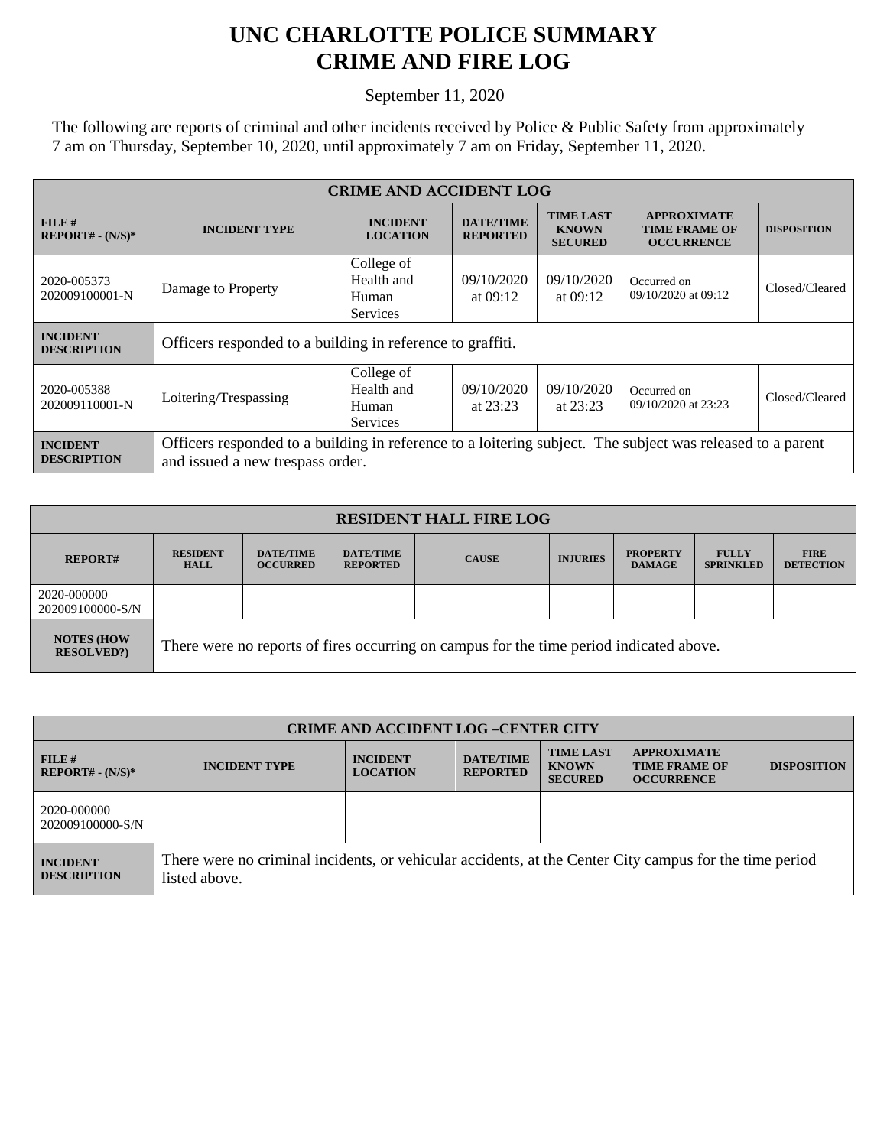## **UNC CHARLOTTE POLICE SUMMARY CRIME AND FIRE LOG**

September 11, 2020

The following are reports of criminal and other incidents received by Police & Public Safety from approximately 7 am on Thursday, September 10, 2020, until approximately 7 am on Friday, September 11, 2020.

| <b>CRIME AND ACCIDENT LOG</b>         |                                                                                                                                                |                                                      |                                     |                                                    |                                                                 |                    |  |
|---------------------------------------|------------------------------------------------------------------------------------------------------------------------------------------------|------------------------------------------------------|-------------------------------------|----------------------------------------------------|-----------------------------------------------------------------|--------------------|--|
| FILE#<br>$REPORT# - (N/S)*$           | <b>INCIDENT TYPE</b>                                                                                                                           | <b>INCIDENT</b><br><b>LOCATION</b>                   | <b>DATE/TIME</b><br><b>REPORTED</b> | <b>TIME LAST</b><br><b>KNOWN</b><br><b>SECURED</b> | <b>APPROXIMATE</b><br><b>TIME FRAME OF</b><br><b>OCCURRENCE</b> | <b>DISPOSITION</b> |  |
| 2020-005373<br>202009100001-N         | Damage to Property                                                                                                                             | College of<br>Health and<br>Human<br><b>Services</b> | 09/10/2020<br>at $09:12$            | 09/10/2020<br>at $09:12$                           | Occurred on<br>09/10/2020 at 09:12                              | Closed/Cleared     |  |
| <b>INCIDENT</b><br><b>DESCRIPTION</b> | Officers responded to a building in reference to graffiti.                                                                                     |                                                      |                                     |                                                    |                                                                 |                    |  |
| 2020-005388<br>202009110001-N         | Loitering/Trespassing                                                                                                                          | College of<br>Health and<br>Human<br><b>Services</b> | 09/10/2020<br>at $23:23$            | 09/10/2020<br>at $23:23$                           | Occurred on<br>09/10/2020 at 23:23                              | Closed/Cleared     |  |
| <b>INCIDENT</b><br><b>DESCRIPTION</b> | Officers responded to a building in reference to a loitering subject. The subject was released to a parent<br>and issued a new trespass order. |                                                      |                                     |                                                    |                                                                 |                    |  |

| <b>RESIDENT HALL FIRE LOG</b>         |                                                                                         |                                     |                                     |              |                 |                                  |                                  |                                 |
|---------------------------------------|-----------------------------------------------------------------------------------------|-------------------------------------|-------------------------------------|--------------|-----------------|----------------------------------|----------------------------------|---------------------------------|
| <b>REPORT#</b>                        | <b>RESIDENT</b><br><b>HALL</b>                                                          | <b>DATE/TIME</b><br><b>OCCURRED</b> | <b>DATE/TIME</b><br><b>REPORTED</b> | <b>CAUSE</b> | <b>INJURIES</b> | <b>PROPERTY</b><br><b>DAMAGE</b> | <b>FULLY</b><br><b>SPRINKLED</b> | <b>FIRE</b><br><b>DETECTION</b> |
| 2020-000000<br>202009100000-S/N       |                                                                                         |                                     |                                     |              |                 |                                  |                                  |                                 |
| <b>NOTES (HOW</b><br><b>RESOLVED?</b> | There were no reports of fires occurring on campus for the time period indicated above. |                                     |                                     |              |                 |                                  |                                  |                                 |

| <b>CRIME AND ACCIDENT LOG-CENTER CITY</b> |                                                                                                                          |                                    |                                     |                                                    |                                                                 |                    |
|-------------------------------------------|--------------------------------------------------------------------------------------------------------------------------|------------------------------------|-------------------------------------|----------------------------------------------------|-----------------------------------------------------------------|--------------------|
| FILE#<br>$REPORT# - (N/S)*$               | <b>INCIDENT TYPE</b>                                                                                                     | <b>INCIDENT</b><br><b>LOCATION</b> | <b>DATE/TIME</b><br><b>REPORTED</b> | <b>TIME LAST</b><br><b>KNOWN</b><br><b>SECURED</b> | <b>APPROXIMATE</b><br><b>TIME FRAME OF</b><br><b>OCCURRENCE</b> | <b>DISPOSITION</b> |
| 2020-000000<br>202009100000-S/N           |                                                                                                                          |                                    |                                     |                                                    |                                                                 |                    |
| <b>INCIDENT</b><br><b>DESCRIPTION</b>     | There were no criminal incidents, or vehicular accidents, at the Center City campus for the time period<br>listed above. |                                    |                                     |                                                    |                                                                 |                    |